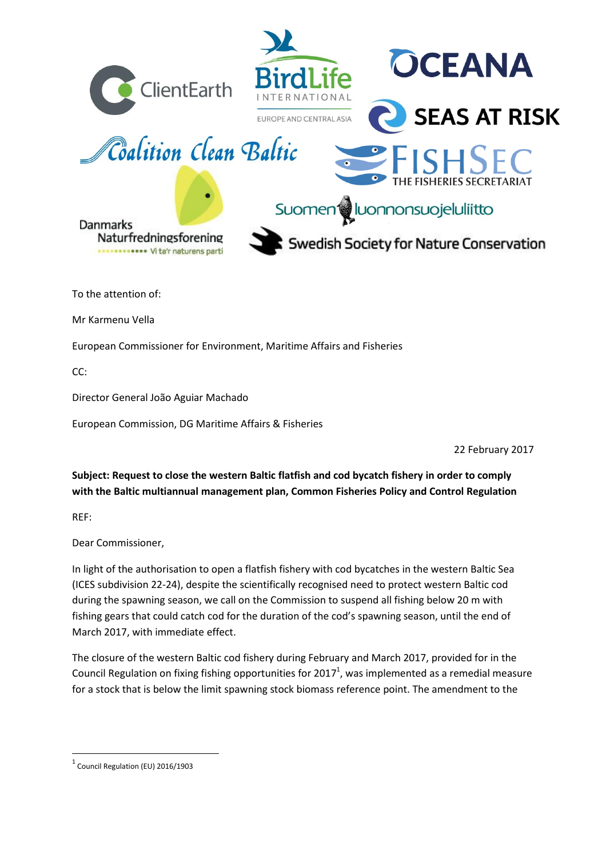

European Commissioner for Environment, Maritime Affairs and Fisheries

CC:

Director General João Aguiar Machado

European Commission, DG Maritime Affairs & Fisheries

22 February 2017

**Subject: Request to close the western Baltic flatfish and cod bycatch fishery in order to comply with the Baltic multiannual management plan, Common Fisheries Policy and Control Regulation**

REF:

 $\overline{a}$ 

Dear Commissioner,

In light of the authorisation to open a flatfish fishery with cod bycatches in the western Baltic Sea (ICES subdivision 22-24), despite the scientifically recognised need to protect western Baltic cod during the spawning season, we call on the Commission to suspend all fishing below 20 m with fishing gears that could catch cod for the duration of the cod's spawning season, until the end of March 2017, with immediate effect.

The closure of the western Baltic cod fishery during February and March 2017, provided for in the Council Regulation on fixing fishing opportunities for 2017<sup>1</sup>, was implemented as a remedial measure for a stock that is below the limit spawning stock biomass reference point. The amendment to the

 $<sup>1</sup>$  Council Regulation (EU) 2016/1903</sup>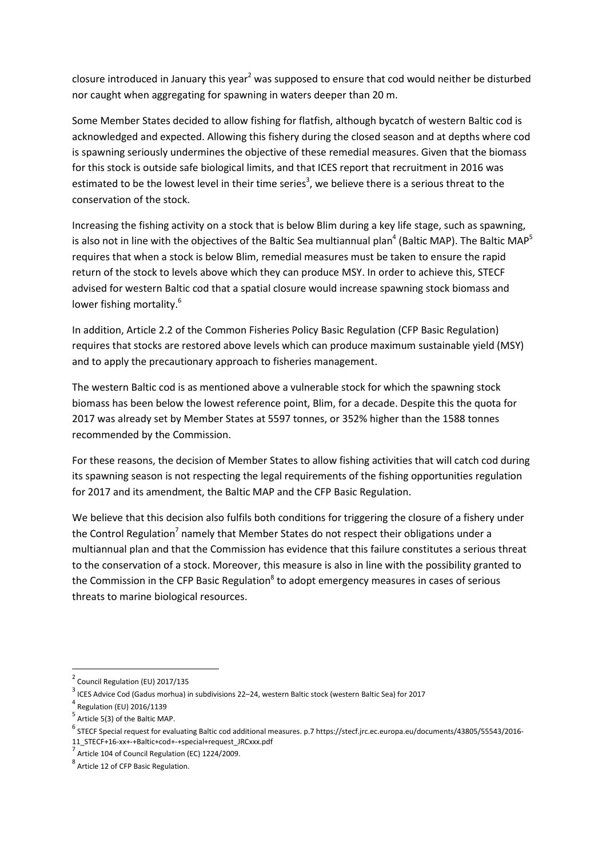closure introduced in January this year<sup>2</sup> was supposed to ensure that cod would neither be disturbed nor caught when aggregating for spawning in waters deeper than 20 m.

Some Member States decided to allow fishing for flatfish, although bycatch of western Baltic cod is acknowledged and expected. Allowing this fishery during the closed season and at depths where cod is spawning seriously undermines the objective of these remedial measures. Given that the biomass for this stock is outside safe biological limits, and that ICES report that recruitment in 2016 was estimated to be the lowest level in their time series<sup>3</sup>, we believe there is a serious threat to the conservation of the stock.

Increasing the fishing activity on a stock that is below Blim during a key life stage, such as spawning, is also not in line with the objectives of the Baltic Sea multiannual plan<sup>4</sup> (Baltic MAP). The Baltic MAP<sup>5</sup> requires that when a stock is below Blim, remedial measures must be taken to ensure the rapid return of the stock to levels above which they can produce MSY. In order to achieve this, STECF advised for western Baltic cod that a spatial closure would increase spawning stock biomass and lower fishing mortality.<sup>6</sup>

In addition, Article 2.2 of the Common Fisheries Policy Basic Regulation (CFP Basic Regulation) requires that stocks are restored above levels which can produce maximum sustainable yield (MSY) and to apply the precautionary approach to fisheries management.

The western Baltic cod is as mentioned above a vulnerable stock for which the spawning stock biomass has been below the lowest reference point, Blim, for a decade. Despite this the quota for 2017 was already set by Member States at 5597 tonnes, or 352% higher than the 1588 tonnes recommended by the Commission.

For these reasons, the decision of Member States to allow fishing activities that will catch cod during its spawning season is not respecting the legal requirements of the fishing opportunities regulation for 2017 and its amendment, the Baltic MAP and the CFP Basic Regulation.

We believe that this decision also fulfils both conditions for triggering the closure of a fishery under the Control Regulation<sup>7</sup> namely that Member States do not respect their obligations under a multiannual plan and that the Commission has evidence that this failure constitutes a serious threat to the conservation of a stock. Moreover, this measure is also in line with the possibility granted to the Commission in the CFP Basic Regulation<sup>8</sup> to adopt emergency measures in cases of serious threats to marine biological resources.

 $\overline{a}$ 

<sup>&</sup>lt;sup>2</sup> Council Regulation (EU) 2017/135

 $^3$  ICES Advice Cod (Gadus morhua) in subdivisions 22–24, western Baltic stock (western Baltic Sea) for 2017

<sup>4</sup> Regulation (EU) 2016/1139

<sup>5</sup> Article 5(3) of the Baltic MAP.

<sup>&</sup>lt;sup>6</sup> STECF Special request for evaluating Baltic cod additional measures. p.7 https://stecf.jrc.ec.europa.eu/documents/43805/55543/2016-11\_STECF+16-xx+-+Baltic+cod+-+special+request\_JRCxxx.pdf

<sup>&</sup>lt;sup>7</sup> Article 104 of Council Regulation (EC) 1224/2009.

<sup>8</sup> Article 12 of CFP Basic Regulation.